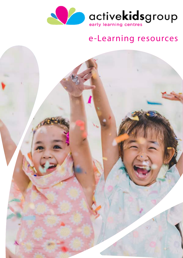

# e-Learning resources

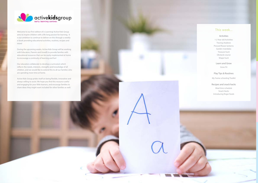

Welcome to our first edition of e-Learning! Active Kids Group aims to inspire children with a life long passion for learning. It is our ambition to continue to deliver on this through a weekly e-book providing educational activities, routines, recipes and more!

During the upcoming weeks, Active Kids Group will be working with Educators, Parents and Growfit to provide families with educational resources that can be easily implemented at home to encourage a continuity of learning and fun!

Our educators collaborate to develop a curriculum which reflects the needs, interests, strengths and knowledge of all children, and we would like to extend this to all our families who are spending more time at home.

Active Kids Group prides itself on being flexible, innovative and always willing to assist. We hope you find this resource useful and engaging for your little learners, and encourge families to share ideas they might want included for other families as well.

#### This week...

#### Activities

1-2 Year old Activities Tracing shadows Pressed flower lanterns Garden mandalas Treasure hunt Obstacle course Shape hunt

Learn and Grow Grow Fit

#### Play Tips & Routines

My 'home schooling' Toolkit

#### Recipes and snack hacks

Meal time schedule Snack Hacks Introducing finger foods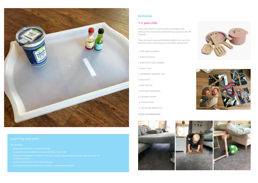#### [1-2 year ol](https://fiveminutemum.com/2018/07/12/five-things-to-do-with-1-2-year-olds/)ds

'Five minute Mum' is a mum, teacher and blogger who develops 'Five minute fun activities for busy people to do with little kids'.

These are eleven simple activities for toddlers that can easily be done at home with things you most likely already have!

- 1. POTS, PANS and PASTA
- 2. PHOTO PUZZLES
- 3. SOFA FORTS AND TUNNELS
- 4. MESSY PLAY
- 5. HOMEMADE SENSORY TRAY
- 6. BALLOONS
- 7. HIDE THE TOY
- 8. GIFT BAGS AND BOXES
- 9. STEPPING STONES
- 10. PUZZLE HUNT
- 11. RECYCLING WATER PLAY

#### [Link for more details here!](https://fiveminutemum.com/2018/07/12/five-things-to-do-with-1-2-year-olds/)







#### Activities



### Learning outcomes

- 
- 
- 
- 
-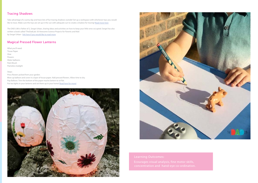# Tracing Shadows

Take advantage of a sunny day and have lots of fun tracing shadows outside! Set up a workspace with whichever toys you would like to trace. Make sure the toys are set up in the sun with adequate sun to create a shadow for tracing! [Read more here](https://thedadlab.com/tracing-shadows-activity/)

The DAD LAB is Father of 2, Sergei Urban, sharing ideas and activities on how to keep your little ones occupied. Sergei has also written a book called 'TheDadLab: 50 Awesome Science Projects for Parents and Kids' by Sergei Urban - [link here if you would like to read more](https://thedadlab.com/book50/)

# Magical Pressed Flower Lanterns

What you'll need: Tissue Paper Glue Flowers Water balloons Paint Brush Flameless tealight

Steps:

Press flowers picked from your garden. Blow up balloon and cover in a layer of tissue paper. Add pressed flowers. Allow time to dry.

Pop Balloon. Trim the bottom of the paper mache lantern to sit flat.

Put tea lights in your lanterns and set them up in your home! [Read here for more!](https://littlepinelearners.com/magical-pressed-flower-lanterns/)





## Learning Outcomes:

 Ecourages visual analysis, fine motor skills, concentration and hand-eye co-ordination.

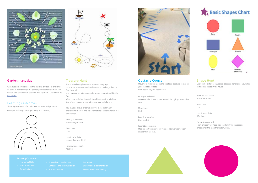



### Garden mandalas

'Mandalas are circular geometric designs, crafted out of a range of items. A walk through the garden provides leaves, sticks and flowers that children can position into a pattern.' - Jess Smith via **Instagram** 

#### Learning Outcomes:

This is a great activity for children to explore and promotes

concepts such as pattern, symmetry, and creativity.



Treasure Hunt

This is a really simple one and is great for any age. Hide some objects around the house and challenge them to find them all.

You can even set a timer or make treasure maps to add to the fun.

When your child has found all the objects get them to hide them from you and create a treasure map to help you.

You can add a level of complexity for older children by challenging them to find objects that are one colour or all the same shape.

What you will need: Some things to hide

Mess Level: Low

Length of activity: Longer than you think!

Parent Engagement: Medium

- -
	-



#### Obstacle Course

Move your furniture around to create an obstacle course for your child to navigate. Even better play the floor is lava!

What you will need: Objects to climb over under, around through, jump on, slide down.

Mess Level: High

Length of activity: Open ended

Parent Engagement: Medium- set up near you if you need to work so you can ensure they are safe.





#### Learning Outcomes:

- 
- 
- 

### Shape Hunt

Draw some different shapes on paper and challenge your child to find that shape in the house

What you will need: Shape flashcards

Mess Level: Low

Length of activity: 15 minutes

Parent Engagement: High- children will need help in identifying shapes and engagement to keep them stimulated.

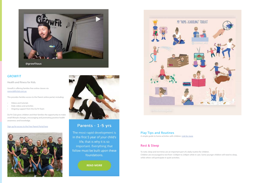

# GROWFIT

#### Health and fitness for Kids.

Growfit is offering families free online classes via [www.dafitclub.com.au](https://dafitclub.com.au)

This provides families access to the Parent online portal, including:

- Videos and tutorials
- Daily videos and activities
- Ongoing support from the Da Fit Team

Da Fit Club gives children and their families the opportunity to make small lifestyle changes, encouraging and promoting positive health awareness and knowledge.

#### [Sign up for access to the Free Parent Portal here](https://dafitclub.com.au/sign-up-online/)





# Parents - 1-5 yrs

The most rapid development is in the first 5 year of your child's life, that is why it is so important. Everything that follow must be built upon these foundations.

**READ MORE** 



#### Play Tips and Routines

A simple guide to home activities with children. [Link for more](https://www.instagram.com/p/B-GUeIgn3qi/)

#### Rest & Sleep

To note; sleep and rest times are an important part of a daily routine for children. Children are encouraged to rest from 12:00pm to 2:00pm while in care. Some younger children will need to sleep, while others will participate in quiet activities.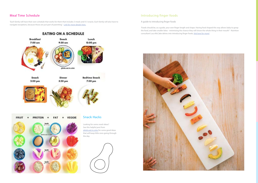# Introducing finger foods

A guide to introducing finger foods

'Foods should be, as a guide, your own finger length and shape. Having food shaped this way allows baby to grasp the food, and take smaller bites - minimising the chance they will shove the whole thing in their mouth!' -Nutrition consultant Luca McCabe delves into introducing finger foods, [link here for more!](https://www.instagram.com/p/B1qRDuCnsmA/)



#### ['Each family will have their own schedule that works for them that includes 3 meals and 0-3 snacks. Each family will also have to](https://www.instagram.com/p/B8xPBIyg8iw/)  navigate exceptions, because those are just part of parenting.' - [Link for more details here.](https://www.instagram.com/p/B8xPBIyg8iw/)



both

# Meal Time Schedule